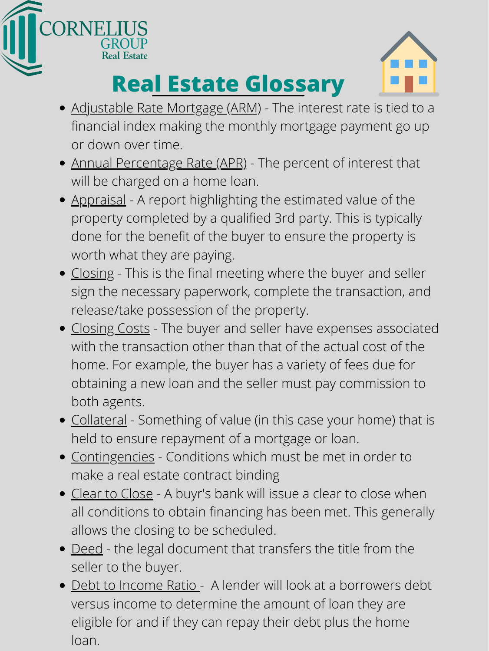- Adjustable Rate Mortgage (ARM) The interest rate is tied to a financial index making the monthly mortgage payment go up or down over time.
- Annual Percentage Rate (APR) The percent of interest that will be charged on a home loan.
- Appraisal A report highlighting the estimated value of the property completed by a qualified 3rd party. This is typically done for the benefit of the buyer to ensure the property is worth what they are paying.
- Closing This is the final meeting where the buyer and seller sign the necessary paperwork, complete the transaction, and release/take possession of the property.
- Closing Costs The buyer and seller have expenses associated with the transaction other than that of the actual cost of the home. For example, the buyer has a variety of fees due for obtaining a new loan and the seller must pay commission to both agents.
- Collateral Something of value (in this case your home) that is held to ensure repayment of a mortgage or loan.
- Contingencies Conditions which must be met in order to make a real estate contract binding
- Clear to Close A buyr's bank will issue a clear to close when all conditions to obtain financing has been met. This generally allows the closing to be scheduled.
- Deed the legal document that transfers the title from the seller to the buyer.
- Debt to Income Ratio A lender will look at a borrowers debt versus income to determine the amount of loan they are eligible for and if they can repay their debt plus the home loan.





## **Real Estate Glossary**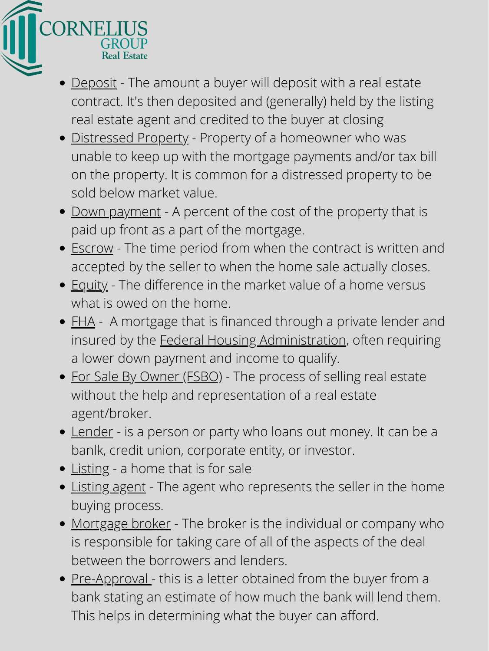

- Deposit The amount a buyer will deposit with a real estate contract. It's then deposited and (generally) held by the listing real estate agent and credited to the buyer at closing
- Distressed Property Property of a homeowner who was unable to keep up with the mortgage payments and/or tax bill on the property. It is common for a distressed property to be sold below market value.
- <u>Down payment</u> A percent of the cost of the property that is paid up front as a part of the mortgage.
- Escrow The time period from when the contract is written and accepted by the seller to when the home sale actually closes.
- Equity The difference in the market value of a home versus what is owed on the home.
- FHA A mortgage that is financed through a private lender and insured by the **Federal Housing Administration**, often requiring a lower down payment and income to qualify. • For Sale By Owner (FSBO) - The process of selling real estate without the help and representation of a real estate agent/broker.
- Lender is a person or party who loans out money. It can be a banlk, credit union, corporate entity, or investor.
- Listing a home that is for sale
- Listing agent The agent who represents the seller in the home buying process.
- Mortgage broker The broker is the individual or company who is responsible for taking care of all of the aspects of the deal between the borrowers and lenders.
- Pre-Approval this is a letter obtained from the buyer from a bank stating an estimate of how much the bank will lend them. This helps in determining what the buyer can afford.